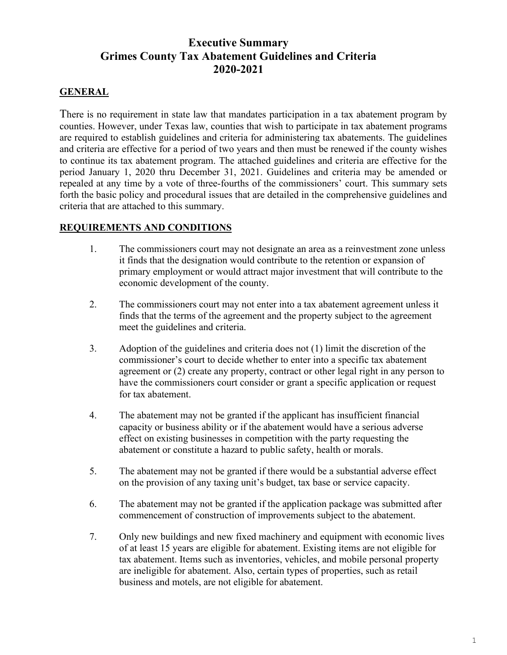# **Executive Summary Grimes County Tax Abatement Guidelines and Criteria 2020-2021**

#### **GENERAL**

There is no requirement in state law that mandates participation in a tax abatement program by counties. However, under Texas law, counties that wish to participate in tax abatement programs are required to establish guidelines and criteria for administering tax abatements. The guidelines and criteria are effective for a period of two years and then must be renewed if the county wishes to continue its tax abatement program. The attached guidelines and criteria are effective for the period January 1, 2020 thru December 31, 2021. Guidelines and criteria may be amended or repealed at any time by a vote of three-fourths of the commissioners' court. This summary sets forth the basic policy and procedural issues that are detailed in the comprehensive guidelines and criteria that are attached to this summary.

#### **REQUIREMENTS AND CONDITIONS**

- 1. The commissioners court may not designate an area as a reinvestment zone unless it finds that the designation would contribute to the retention or expansion of primary employment or would attract major investment that will contribute to the economic development of the county.
- 2. The commissioners court may not enter into a tax abatement agreement unless it finds that the terms of the agreement and the property subject to the agreement meet the guidelines and criteria.
- 3. Adoption of the guidelines and criteria does not (1) limit the discretion of the commissioner's court to decide whether to enter into a specific tax abatement agreement or (2) create any property, contract or other legal right in any person to have the commissioners court consider or grant a specific application or request for tax abatement.
- 4. The abatement may not be granted if the applicant has insufficient financial capacity or business ability or if the abatement would have a serious adverse effect on existing businesses in competition with the party requesting the abatement or constitute a hazard to public safety, health or morals.
- 5. The abatement may not be granted if there would be a substantial adverse effect on the provision of any taxing unit's budget, tax base or service capacity.
- 6. The abatement may not be granted if the application package was submitted after commencement of construction of improvements subject to the abatement.
- 7. Only new buildings and new fixed machinery and equipment with economic lives of at least 15 years are eligible for abatement. Existing items are not eligible for tax abatement. Items such as inventories, vehicles, and mobile personal property are ineligible for abatement. Also, certain types of properties, such as retail business and motels, are not eligible for abatement.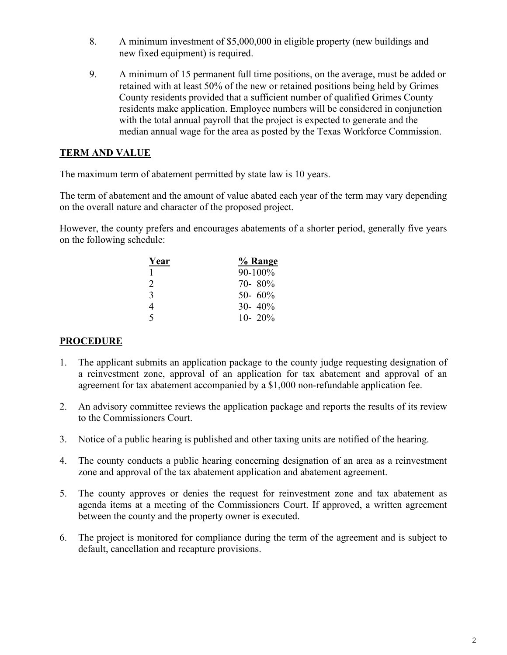- 8. A minimum investment of \$5,000,000 in eligible property (new buildings and new fixed equipment) is required.
- 9. A minimum of 15 permanent full time positions, on the average, must be added or retained with at least 50% of the new or retained positions being held by Grimes County residents provided that a sufficient number of qualified Grimes County residents make application. Employee numbers will be considered in conjunction with the total annual payroll that the project is expected to generate and the median annual wage for the area as posted by the Texas Workforce Commission.

#### **TERM AND VALUE**

The maximum term of abatement permitted by state law is 10 years.

The term of abatement and the amount of value abated each year of the term may vary depending on the overall nature and character of the proposed project.

However, the county prefers and encourages abatements of a shorter period, generally five years on the following schedule:

| Year                        | % Range     |
|-----------------------------|-------------|
|                             | 90-100%     |
| $\mathcal{D}_{\mathcal{L}}$ | $70 - 80\%$ |
| $\mathcal{R}$               | 50- 60%     |
| 4                           | $30 - 40\%$ |
| $\varsigma$                 | 10- 20\%    |

#### **PROCEDURE**

- 1. The applicant submits an application package to the county judge requesting designation of a reinvestment zone, approval of an application for tax abatement and approval of an agreement for tax abatement accompanied by a \$1,000 non-refundable application fee.
- 2. An advisory committee reviews the application package and reports the results of its review to the Commissioners Court.
- 3. Notice of a public hearing is published and other taxing units are notified of the hearing.
- 4. The county conducts a public hearing concerning designation of an area as a reinvestment zone and approval of the tax abatement application and abatement agreement.
- 5. The county approves or denies the request for reinvestment zone and tax abatement as agenda items at a meeting of the Commissioners Court. If approved, a written agreement between the county and the property owner is executed.
- 6. The project is monitored for compliance during the term of the agreement and is subject to default, cancellation and recapture provisions.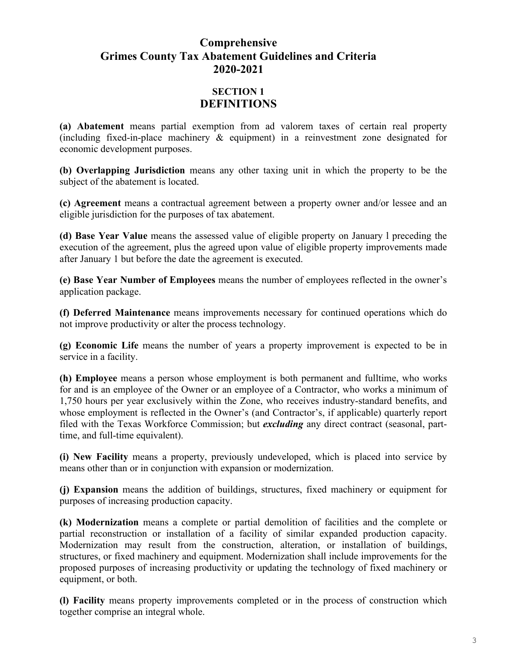# **Comprehensive Grimes County Tax Abatement Guidelines and Criteria 2020-2021**

## **SECTION 1 DEFINITIONS**

**(a) Abatement** means partial exemption from ad valorem taxes of certain real property (including fixed-in-place machinery & equipment) in a reinvestment zone designated for economic development purposes.

**(b) Overlapping Jurisdiction** means any other taxing unit in which the property to be the subject of the abatement is located.

**(c) Agreement** means a contractual agreement between a property owner and/or lessee and an eligible jurisdiction for the purposes of tax abatement.

**(d) Base Year Value** means the assessed value of eligible property on January l preceding the execution of the agreement, plus the agreed upon value of eligible property improvements made after January 1 but before the date the agreement is executed.

**(e) Base Year Number of Employees** means the number of employees reflected in the owner's application package.

**(f) Deferred Maintenance** means improvements necessary for continued operations which do not improve productivity or alter the process technology.

**(g) Economic Life** means the number of years a property improvement is expected to be in service in a facility.

**(h) Employee** means a person whose employment is both permanent and fulltime, who works for and is an employee of the Owner or an employee of a Contractor, who works a minimum of 1,750 hours per year exclusively within the Zone, who receives industry-standard benefits, and whose employment is reflected in the Owner's (and Contractor's, if applicable) quarterly report filed with the Texas Workforce Commission; but *excluding* any direct contract (seasonal, parttime, and full-time equivalent).

**(i) New Facility** means a property, previously undeveloped, which is placed into service by means other than or in conjunction with expansion or modernization.

**(j) Expansion** means the addition of buildings, structures, fixed machinery or equipment for purposes of increasing production capacity.

**(k) Modernization** means a complete or partial demolition of facilities and the complete or partial reconstruction or installation of a facility of similar expanded production capacity. Modernization may result from the construction, alteration, or installation of buildings, structures, or fixed machinery and equipment. Modernization shall include improvements for the proposed purposes of increasing productivity or updating the technology of fixed machinery or equipment, or both.

**(l) Facility** means property improvements completed or in the process of construction which together comprise an integral whole.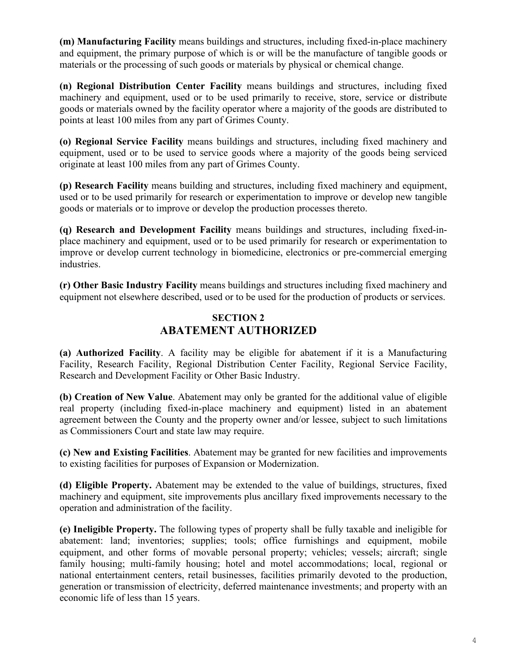**(m) Manufacturing Facility** means buildings and structures, including fixed-in-place machinery and equipment, the primary purpose of which is or will be the manufacture of tangible goods or materials or the processing of such goods or materials by physical or chemical change.

**(n) Regional Distribution Center Facility** means buildings and structures, including fixed machinery and equipment, used or to be used primarily to receive, store, service or distribute goods or materials owned by the facility operator where a majority of the goods are distributed to points at least 100 miles from any part of Grimes County.

**(o) Regional Service Facility** means buildings and structures, including fixed machinery and equipment, used or to be used to service goods where a majority of the goods being serviced originate at least 100 miles from any part of Grimes County.

**(p) Research Facility** means building and structures, including fixed machinery and equipment, used or to be used primarily for research or experimentation to improve or develop new tangible goods or materials or to improve or develop the production processes thereto.

**(q) Research and Development Facility** means buildings and structures, including fixed-inplace machinery and equipment, used or to be used primarily for research or experimentation to improve or develop current technology in biomedicine, electronics or pre-commercial emerging industries.

**(r) Other Basic Industry Facility** means buildings and structures including fixed machinery and equipment not elsewhere described, used or to be used for the production of products or services.

### **SECTION 2 ABATEMENT AUTHORIZED**

**(a) Authorized Facility**. A facility may be eligible for abatement if it is a Manufacturing Facility, Research Facility, Regional Distribution Center Facility, Regional Service Facility, Research and Development Facility or Other Basic Industry.

**(b) Creation of New Value**. Abatement may only be granted for the additional value of eligible real property (including fixed-in-place machinery and equipment) listed in an abatement agreement between the County and the property owner and/or lessee, subject to such limitations as Commissioners Court and state law may require.

**(c) New and Existing Facilities**. Abatement may be granted for new facilities and improvements to existing facilities for purposes of Expansion or Modernization.

**(d) Eligible Property.** Abatement may be extended to the value of buildings, structures, fixed machinery and equipment, site improvements plus ancillary fixed improvements necessary to the operation and administration of the facility.

**(e) Ineligible Property.** The following types of property shall be fully taxable and ineligible for abatement: land; inventories; supplies; tools; office furnishings and equipment, mobile equipment, and other forms of movable personal property; vehicles; vessels; aircraft; single family housing; multi-family housing; hotel and motel accommodations; local, regional or national entertainment centers, retail businesses, facilities primarily devoted to the production, generation or transmission of electricity, deferred maintenance investments; and property with an economic life of less than 15 years.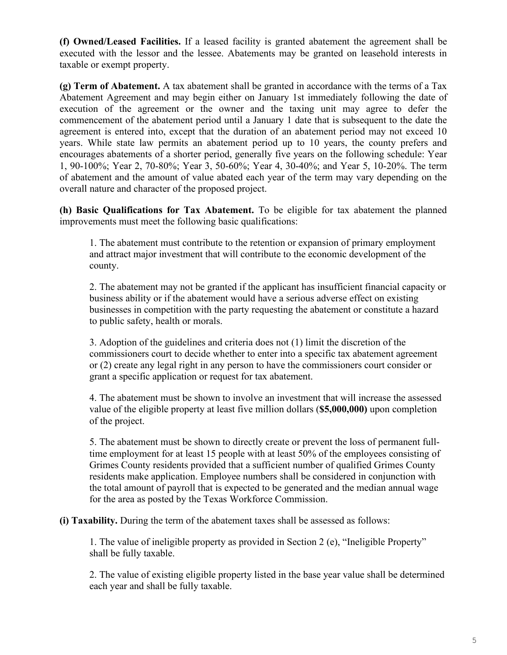**(f) Owned/Leased Facilities.** If a leased facility is granted abatement the agreement shall be executed with the lessor and the lessee. Abatements may be granted on leasehold interests in taxable or exempt property.

**(g) Term of Abatement.** A tax abatement shall be granted in accordance with the terms of a Tax Abatement Agreement and may begin either on January 1st immediately following the date of execution of the agreement or the owner and the taxing unit may agree to defer the commencement of the abatement period until a January 1 date that is subsequent to the date the agreement is entered into, except that the duration of an abatement period may not exceed 10 years. While state law permits an abatement period up to 10 years, the county prefers and encourages abatements of a shorter period, generally five years on the following schedule: Year 1, 90-100%; Year 2, 70-80%; Year 3, 50-60%; Year 4, 30-40%; and Year 5, 10-20%. The term of abatement and the amount of value abated each year of the term may vary depending on the overall nature and character of the proposed project.

**(h) Basic Qualifications for Tax Abatement.** To be eligible for tax abatement the planned improvements must meet the following basic qualifications:

1. The abatement must contribute to the retention or expansion of primary employment and attract major investment that will contribute to the economic development of the county.

2. The abatement may not be granted if the applicant has insufficient financial capacity or business ability or if the abatement would have a serious adverse effect on existing businesses in competition with the party requesting the abatement or constitute a hazard to public safety, health or morals.

3. Adoption of the guidelines and criteria does not (1) limit the discretion of the commissioners court to decide whether to enter into a specific tax abatement agreement or (2) create any legal right in any person to have the commissioners court consider or grant a specific application or request for tax abatement.

4. The abatement must be shown to involve an investment that will increase the assessed value of the eligible property at least five million dollars (**\$5,000,000)** upon completion of the project.

5. The abatement must be shown to directly create or prevent the loss of permanent fulltime employment for at least 15 people with at least 50% of the employees consisting of Grimes County residents provided that a sufficient number of qualified Grimes County residents make application. Employee numbers shall be considered in conjunction with the total amount of payroll that is expected to be generated and the median annual wage for the area as posted by the Texas Workforce Commission.

**(i) Taxability.** During the term of the abatement taxes shall be assessed as follows:

1. The value of ineligible property as provided in Section 2 (e), "Ineligible Property" shall be fully taxable.

2. The value of existing eligible property listed in the base year value shall be determined each year and shall be fully taxable.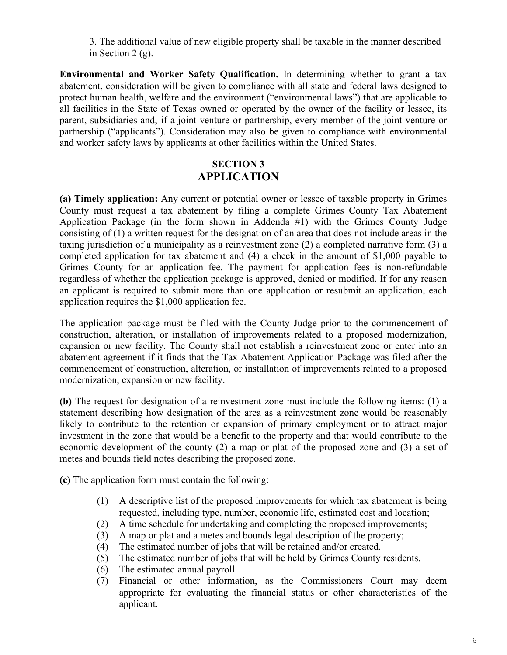3. The additional value of new eligible property shall be taxable in the manner described in Section 2 (g).

**Environmental and Worker Safety Qualification.** In determining whether to grant a tax abatement, consideration will be given to compliance with all state and federal laws designed to protect human health, welfare and the environment ("environmental laws") that are applicable to all facilities in the State of Texas owned or operated by the owner of the facility or lessee, its parent, subsidiaries and, if a joint venture or partnership, every member of the joint venture or partnership ("applicants"). Consideration may also be given to compliance with environmental and worker safety laws by applicants at other facilities within the United States.

## **SECTION 3 APPLICATION**

**(a) Timely application:** Any current or potential owner or lessee of taxable property in Grimes County must request a tax abatement by filing a complete Grimes County Tax Abatement Application Package (in the form shown in Addenda #1) with the Grimes County Judge consisting of (1) a written request for the designation of an area that does not include areas in the taxing jurisdiction of a municipality as a reinvestment zone (2) a completed narrative form (3) a completed application for tax abatement and (4) a check in the amount of \$1,000 payable to Grimes County for an application fee. The payment for application fees is non-refundable regardless of whether the application package is approved, denied or modified. If for any reason an applicant is required to submit more than one application or resubmit an application, each application requires the \$1,000 application fee.

The application package must be filed with the County Judge prior to the commencement of construction, alteration, or installation of improvements related to a proposed modernization, expansion or new facility. The County shall not establish a reinvestment zone or enter into an abatement agreement if it finds that the Tax Abatement Application Package was filed after the commencement of construction, alteration, or installation of improvements related to a proposed modernization, expansion or new facility.

**(b)** The request for designation of a reinvestment zone must include the following items: (1) a statement describing how designation of the area as a reinvestment zone would be reasonably likely to contribute to the retention or expansion of primary employment or to attract major investment in the zone that would be a benefit to the property and that would contribute to the economic development of the county (2) a map or plat of the proposed zone and (3) a set of metes and bounds field notes describing the proposed zone.

**(c)** The application form must contain the following:

- (1) A descriptive list of the proposed improvements for which tax abatement is being requested, including type, number, economic life, estimated cost and location;
- (2) A time schedule for undertaking and completing the proposed improvements;
- (3) A map or plat and a metes and bounds legal description of the property;
- (4) The estimated number of jobs that will be retained and/or created.
- (5) The estimated number of jobs that will be held by Grimes County residents.
- (6) The estimated annual payroll.
- (7) Financial or other information, as the Commissioners Court may deem appropriate for evaluating the financial status or other characteristics of the applicant.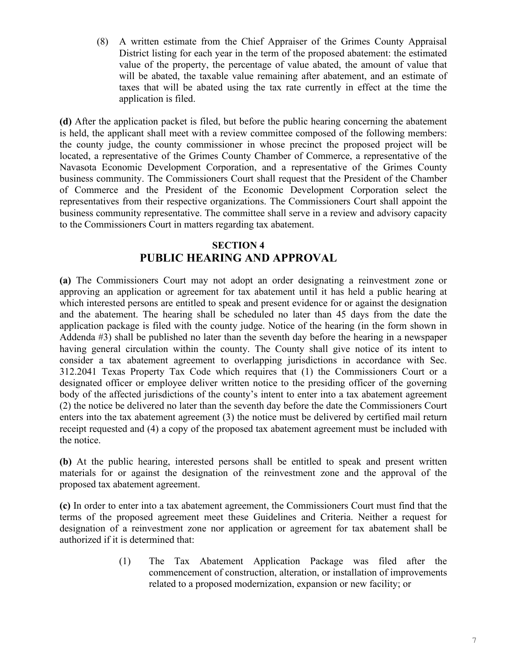(8) A written estimate from the Chief Appraiser of the Grimes County Appraisal District listing for each year in the term of the proposed abatement: the estimated value of the property, the percentage of value abated, the amount of value that will be abated, the taxable value remaining after abatement, and an estimate of taxes that will be abated using the tax rate currently in effect at the time the application is filed.

**(d)** After the application packet is filed, but before the public hearing concerning the abatement is held, the applicant shall meet with a review committee composed of the following members: the county judge, the county commissioner in whose precinct the proposed project will be located, a representative of the Grimes County Chamber of Commerce, a representative of the Navasota Economic Development Corporation, and a representative of the Grimes County business community. The Commissioners Court shall request that the President of the Chamber of Commerce and the President of the Economic Development Corporation select the representatives from their respective organizations. The Commissioners Court shall appoint the business community representative. The committee shall serve in a review and advisory capacity to the Commissioners Court in matters regarding tax abatement.

### **SECTION 4 PUBLIC HEARING AND APPROVAL**

**(a)** The Commissioners Court may not adopt an order designating a reinvestment zone or approving an application or agreement for tax abatement until it has held a public hearing at which interested persons are entitled to speak and present evidence for or against the designation and the abatement. The hearing shall be scheduled no later than 45 days from the date the application package is filed with the county judge. Notice of the hearing (in the form shown in Addenda #3) shall be published no later than the seventh day before the hearing in a newspaper having general circulation within the county. The County shall give notice of its intent to consider a tax abatement agreement to overlapping jurisdictions in accordance with Sec. 312.2041 Texas Property Tax Code which requires that (1) the Commissioners Court or a designated officer or employee deliver written notice to the presiding officer of the governing body of the affected jurisdictions of the county's intent to enter into a tax abatement agreement (2) the notice be delivered no later than the seventh day before the date the Commissioners Court enters into the tax abatement agreement (3) the notice must be delivered by certified mail return receipt requested and (4) a copy of the proposed tax abatement agreement must be included with the notice.

**(b)** At the public hearing, interested persons shall be entitled to speak and present written materials for or against the designation of the reinvestment zone and the approval of the proposed tax abatement agreement.

**(c)** In order to enter into a tax abatement agreement, the Commissioners Court must find that the terms of the proposed agreement meet these Guidelines and Criteria. Neither a request for designation of a reinvestment zone nor application or agreement for tax abatement shall be authorized if it is determined that:

> (1) The Tax Abatement Application Package was filed after the commencement of construction, alteration, or installation of improvements related to a proposed modernization, expansion or new facility; or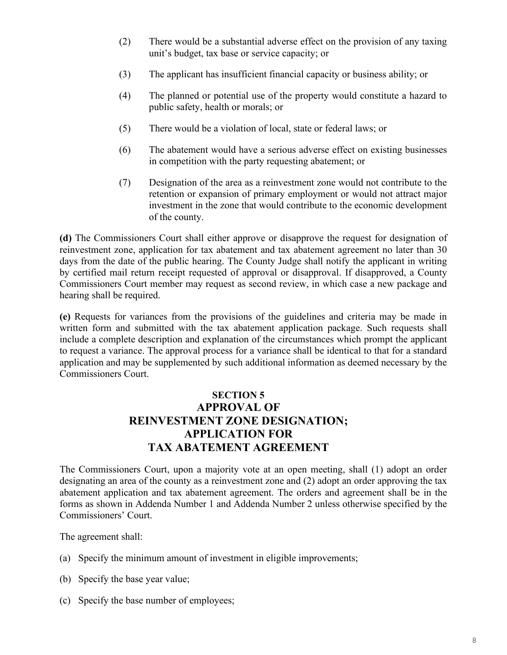- (2) There would be a substantial adverse effect on the provision of any taxing unit's budget, tax base or service capacity; or
- (3) The applicant has insufficient financial capacity or business ability; or
- (4) The planned or potential use of the property would constitute a hazard to public safety, health or morals; or
- (5) There would be a violation of local, state or federal laws; or
- (6) The abatement would have a serious adverse effect on existing businesses in competition with the party requesting abatement; or
- (7) Designation of the area as a reinvestment zone would not contribute to the retention or expansion of primary employment or would not attract major investment in the zone that would contribute to the economic development of the county.

**(d)** The Commissioners Court shall either approve or disapprove the request for designation of reinvestment zone, application for tax abatement and tax abatement agreement no later than 30 days from the date of the public hearing. The County Judge shall notify the applicant in writing by certified mail return receipt requested of approval or disapproval. If disapproved, a County Commissioners Court member may request as second review, in which case a new package and hearing shall be required.

**(e)** Requests for variances from the provisions of the guidelines and criteria may be made in written form and submitted with the tax abatement application package. Such requests shall include a complete description and explanation of the circumstances which prompt the applicant to request a variance. The approval process for a variance shall be identical to that for a standard application and may be supplemented by such additional information as deemed necessary by the Commissioners Court.

# **SECTION 5 APPROVAL OF REINVESTMENT ZONE DESIGNATION; APPLICATION FOR TAX ABATEMENT AGREEMENT**

The Commissioners Court, upon a majority vote at an open meeting, shall (1) adopt an order designating an area of the county as a reinvestment zone and (2) adopt an order approving the tax abatement application and tax abatement agreement. The orders and agreement shall be in the forms as shown in Addenda Number 1 and Addenda Number 2 unless otherwise specified by the Commissioners' Court.

The agreement shall:

- (a) Specify the minimum amount of investment in eligible improvements;
- (b) Specify the base year value;
- (c) Specify the base number of employees;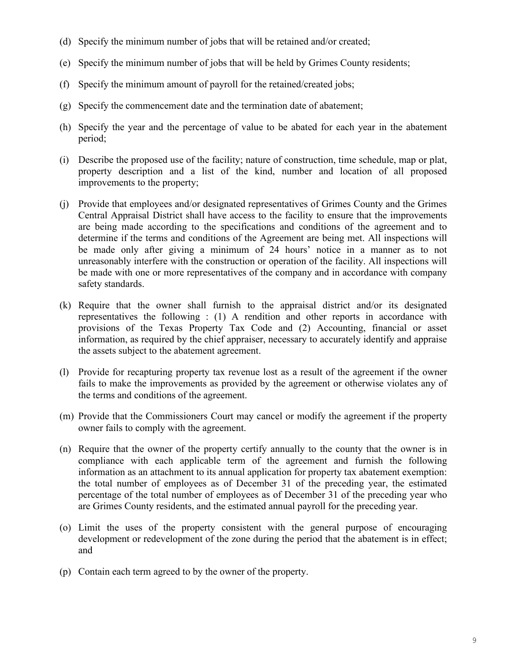- (d) Specify the minimum number of jobs that will be retained and/or created;
- (e) Specify the minimum number of jobs that will be held by Grimes County residents;
- (f) Specify the minimum amount of payroll for the retained/created jobs;
- (g) Specify the commencement date and the termination date of abatement;
- (h) Specify the year and the percentage of value to be abated for each year in the abatement period;
- (i) Describe the proposed use of the facility; nature of construction, time schedule, map or plat, property description and a list of the kind, number and location of all proposed improvements to the property;
- (j) Provide that employees and/or designated representatives of Grimes County and the Grimes Central Appraisal District shall have access to the facility to ensure that the improvements are being made according to the specifications and conditions of the agreement and to determine if the terms and conditions of the Agreement are being met. All inspections will be made only after giving a minimum of 24 hours' notice in a manner as to not unreasonably interfere with the construction or operation of the facility. All inspections will be made with one or more representatives of the company and in accordance with company safety standards.
- (k) Require that the owner shall furnish to the appraisal district and/or its designated representatives the following : (1) A rendition and other reports in accordance with provisions of the Texas Property Tax Code and (2) Accounting, financial or asset information, as required by the chief appraiser, necessary to accurately identify and appraise the assets subject to the abatement agreement.
- (l) Provide for recapturing property tax revenue lost as a result of the agreement if the owner fails to make the improvements as provided by the agreement or otherwise violates any of the terms and conditions of the agreement.
- (m) Provide that the Commissioners Court may cancel or modify the agreement if the property owner fails to comply with the agreement.
- (n) Require that the owner of the property certify annually to the county that the owner is in compliance with each applicable term of the agreement and furnish the following information as an attachment to its annual application for property tax abatement exemption: the total number of employees as of December 31 of the preceding year, the estimated percentage of the total number of employees as of December 31 of the preceding year who are Grimes County residents, and the estimated annual payroll for the preceding year.
- (o) Limit the uses of the property consistent with the general purpose of encouraging development or redevelopment of the zone during the period that the abatement is in effect; and
- (p) Contain each term agreed to by the owner of the property.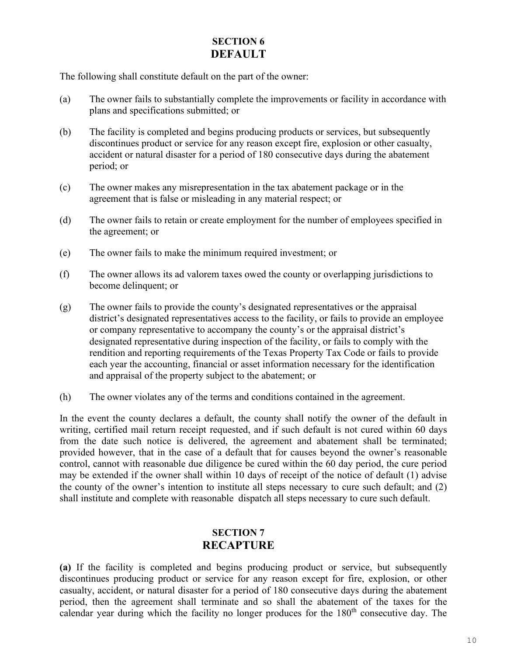### **SECTION 6 DEFAULT**

The following shall constitute default on the part of the owner:

- (a) The owner fails to substantially complete the improvements or facility in accordance with plans and specifications submitted; or
- (b) The facility is completed and begins producing products or services, but subsequently discontinues product or service for any reason except fire, explosion or other casualty, accident or natural disaster for a period of 180 consecutive days during the abatement period; or
- (c) The owner makes any misrepresentation in the tax abatement package or in the agreement that is false or misleading in any material respect; or
- (d) The owner fails to retain or create employment for the number of employees specified in the agreement; or
- (e) The owner fails to make the minimum required investment; or
- (f) The owner allows its ad valorem taxes owed the county or overlapping jurisdictions to become delinquent; or
- (g) The owner fails to provide the county's designated representatives or the appraisal district's designated representatives access to the facility, or fails to provide an employee or company representative to accompany the county's or the appraisal district's designated representative during inspection of the facility, or fails to comply with the rendition and reporting requirements of the Texas Property Tax Code or fails to provide each year the accounting, financial or asset information necessary for the identification and appraisal of the property subject to the abatement; or
- (h) The owner violates any of the terms and conditions contained in the agreement.

In the event the county declares a default, the county shall notify the owner of the default in writing, certified mail return receipt requested, and if such default is not cured within 60 days from the date such notice is delivered, the agreement and abatement shall be terminated; provided however, that in the case of a default that for causes beyond the owner's reasonable control, cannot with reasonable due diligence be cured within the 60 day period, the cure period may be extended if the owner shall within 10 days of receipt of the notice of default (1) advise the county of the owner's intention to institute all steps necessary to cure such default; and (2) shall institute and complete with reasonable dispatch all steps necessary to cure such default.

## **SECTION 7 RECAPTURE**

**(a)** If the facility is completed and begins producing product or service, but subsequently discontinues producing product or service for any reason except for fire, explosion, or other casualty, accident, or natural disaster for a period of 180 consecutive days during the abatement period, then the agreement shall terminate and so shall the abatement of the taxes for the calendar year during which the facility no longer produces for the  $180<sup>th</sup>$  consecutive day. The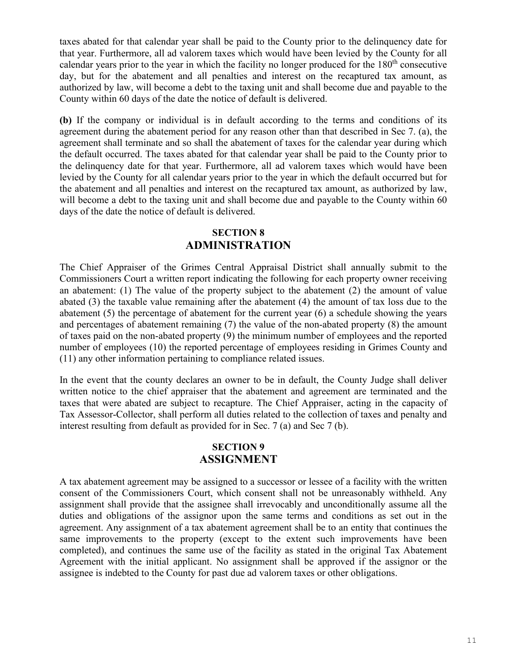taxes abated for that calendar year shall be paid to the County prior to the delinquency date for that year. Furthermore, all ad valorem taxes which would have been levied by the County for all calendar years prior to the year in which the facility no longer produced for the  $180<sup>th</sup>$  consecutive day, but for the abatement and all penalties and interest on the recaptured tax amount, as authorized by law, will become a debt to the taxing unit and shall become due and payable to the County within 60 days of the date the notice of default is delivered.

**(b)** If the company or individual is in default according to the terms and conditions of its agreement during the abatement period for any reason other than that described in Sec 7. (a), the agreement shall terminate and so shall the abatement of taxes for the calendar year during which the default occurred. The taxes abated for that calendar year shall be paid to the County prior to the delinquency date for that year. Furthermore, all ad valorem taxes which would have been levied by the County for all calendar years prior to the year in which the default occurred but for the abatement and all penalties and interest on the recaptured tax amount, as authorized by law, will become a debt to the taxing unit and shall become due and payable to the County within 60 days of the date the notice of default is delivered.

### **SECTION 8 ADMINISTRATION**

The Chief Appraiser of the Grimes Central Appraisal District shall annually submit to the Commissioners Court a written report indicating the following for each property owner receiving an abatement: (1) The value of the property subject to the abatement (2) the amount of value abated (3) the taxable value remaining after the abatement (4) the amount of tax loss due to the abatement (5) the percentage of abatement for the current year (6) a schedule showing the years and percentages of abatement remaining (7) the value of the non-abated property (8) the amount of taxes paid on the non-abated property (9) the minimum number of employees and the reported number of employees (10) the reported percentage of employees residing in Grimes County and (11) any other information pertaining to compliance related issues.

In the event that the county declares an owner to be in default, the County Judge shall deliver written notice to the chief appraiser that the abatement and agreement are terminated and the taxes that were abated are subject to recapture. The Chief Appraiser, acting in the capacity of Tax Assessor-Collector, shall perform all duties related to the collection of taxes and penalty and interest resulting from default as provided for in Sec. 7 (a) and Sec 7 (b).

#### **SECTION 9 ASSIGNMENT**

A tax abatement agreement may be assigned to a successor or lessee of a facility with the written consent of the Commissioners Court, which consent shall not be unreasonably withheld. Any assignment shall provide that the assignee shall irrevocably and unconditionally assume all the duties and obligations of the assignor upon the same terms and conditions as set out in the agreement. Any assignment of a tax abatement agreement shall be to an entity that continues the same improvements to the property (except to the extent such improvements have been completed), and continues the same use of the facility as stated in the original Tax Abatement Agreement with the initial applicant. No assignment shall be approved if the assignor or the assignee is indebted to the County for past due ad valorem taxes or other obligations.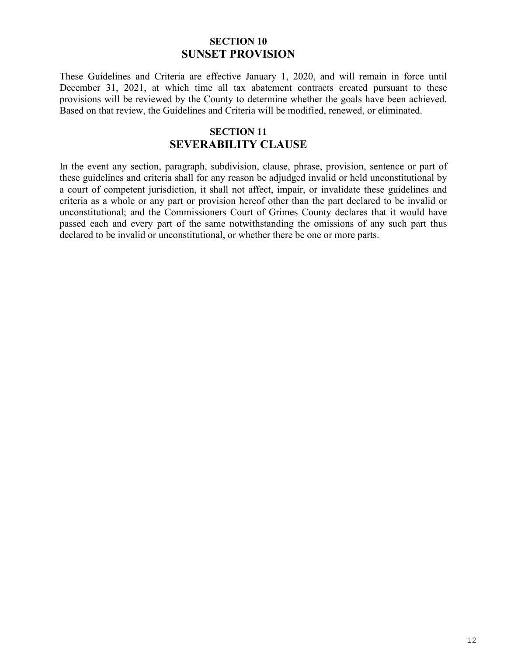#### **SECTION 10 SUNSET PROVISION**

These Guidelines and Criteria are effective January 1, 2020, and will remain in force until December 31, 2021, at which time all tax abatement contracts created pursuant to these provisions will be reviewed by the County to determine whether the goals have been achieved. Based on that review, the Guidelines and Criteria will be modified, renewed, or eliminated.

### **SECTION 11 SEVERABILITY CLAUSE**

In the event any section, paragraph, subdivision, clause, phrase, provision, sentence or part of these guidelines and criteria shall for any reason be adjudged invalid or held unconstitutional by a court of competent jurisdiction, it shall not affect, impair, or invalidate these guidelines and criteria as a whole or any part or provision hereof other than the part declared to be invalid or unconstitutional; and the Commissioners Court of Grimes County declares that it would have passed each and every part of the same notwithstanding the omissions of any such part thus declared to be invalid or unconstitutional, or whether there be one or more parts.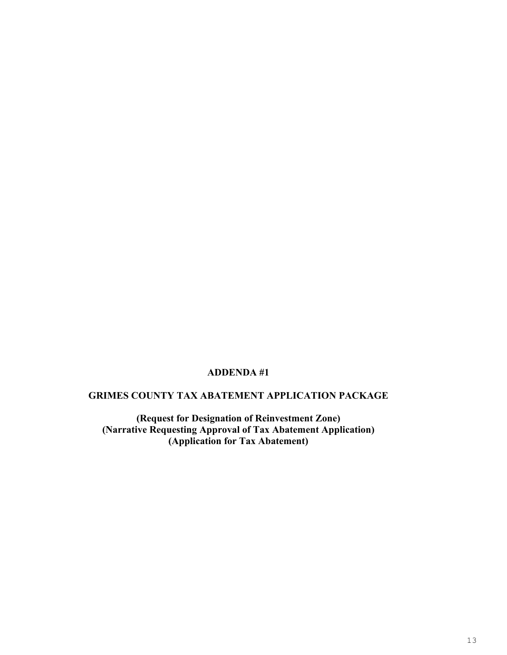#### **ADDENDA #1**

#### **GRIMES COUNTY TAX ABATEMENT APPLICATION PACKAGE**

**(Request for Designation of Reinvestment Zone) (Narrative Requesting Approval of Tax Abatement Application) (Application for Tax Abatement)**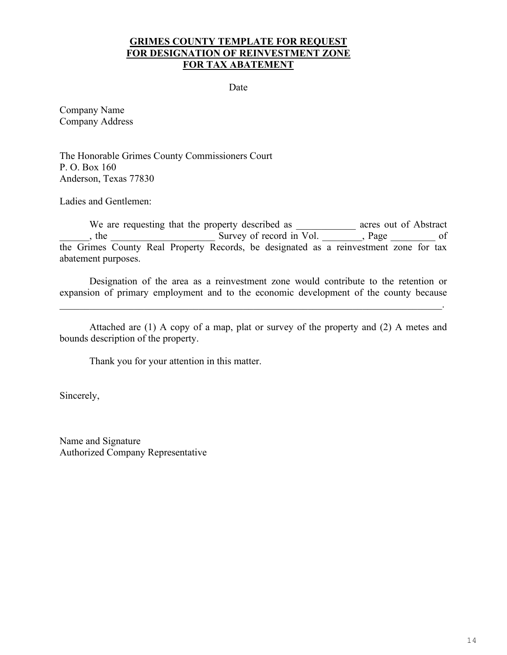#### **GRIMES COUNTY TEMPLATE FOR REQUEST FOR DESIGNATION OF REINVESTMENT ZONE FOR TAX ABATEMENT**

Date

Company Name Company Address

The Honorable Grimes County Commissioners Court P. O. Box 160 Anderson, Texas 77830

Ladies and Gentlemen:

We are requesting that the property described as \_\_\_\_\_\_\_\_\_\_\_\_\_ acres out of Abstract ergons, the Survey of record in Vol. The page the state of  $\sim$ the Grimes County Real Property Records, be designated as a reinvestment zone for tax abatement purposes.

Designation of the area as a reinvestment zone would contribute to the retention or expansion of primary employment and to the economic development of the county because

\_\_\_\_\_\_\_\_\_\_\_\_\_\_\_\_\_\_\_\_\_\_\_\_\_\_\_\_\_\_\_\_\_\_\_\_\_\_\_\_\_\_\_\_\_\_\_\_\_\_\_\_\_\_\_\_\_\_\_\_\_\_\_\_\_\_\_\_\_\_\_\_\_\_\_\_\_.

Attached are (1) A copy of a map, plat or survey of the property and (2) A metes and bounds description of the property.

Thank you for your attention in this matter.

Sincerely,

Name and Signature Authorized Company Representative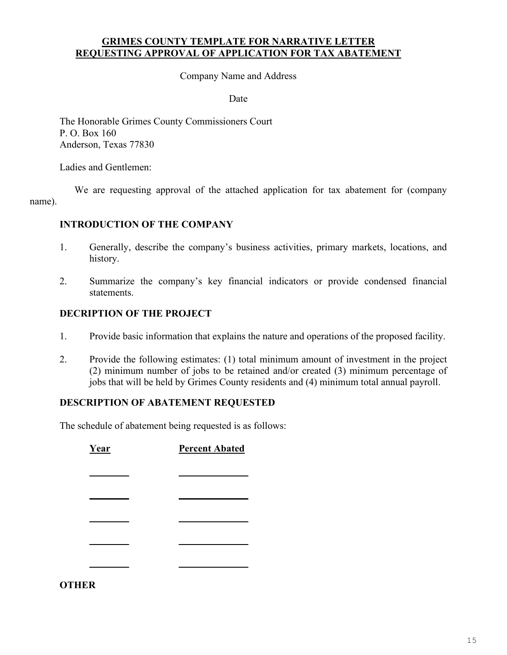#### **GRIMES COUNTY TEMPLATE FOR NARRATIVE LETTER REQUESTING APPROVAL OF APPLICATION FOR TAX ABATEMENT**

Company Name and Address

Date

The Honorable Grimes County Commissioners Court P. O. Box 160 Anderson, Texas 77830

Ladies and Gentlemen:

We are requesting approval of the attached application for tax abatement for (company name).

#### **INTRODUCTION OF THE COMPANY**

- 1. Generally, describe the company's business activities, primary markets, locations, and history.
- 2. Summarize the company's key financial indicators or provide condensed financial statements.

#### **DECRIPTION OF THE PROJECT**

- 1. Provide basic information that explains the nature and operations of the proposed facility.
- 2. Provide the following estimates: (1) total minimum amount of investment in the project (2) minimum number of jobs to be retained and/or created (3) minimum percentage of jobs that will be held by Grimes County residents and (4) minimum total annual payroll.

#### **DESCRIPTION OF ABATEMENT REQUESTED**

The schedule of abatement being requested is as follows:

**Year Percent Abated \_\_\_\_\_\_\_\_ \_\_\_\_\_\_\_\_\_\_\_\_\_\_ \_\_\_\_\_\_\_\_ \_\_\_\_\_\_\_\_\_\_\_\_\_\_ \_\_\_\_\_\_\_\_ \_\_\_\_\_\_\_\_\_\_\_\_\_\_ \_\_\_\_\_\_\_\_ \_\_\_\_\_\_\_\_\_\_\_\_\_\_ \_\_\_\_\_\_\_\_ \_\_\_\_\_\_\_\_\_\_\_\_\_\_**

**OTHER**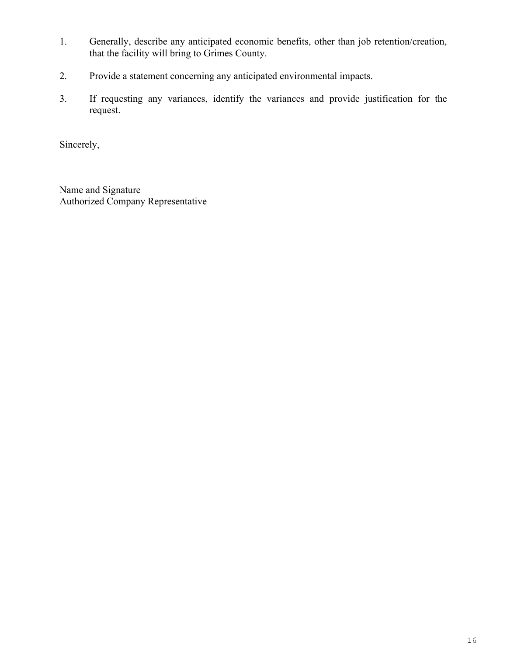- 1. Generally, describe any anticipated economic benefits, other than job retention/creation, that the facility will bring to Grimes County.
- 2. Provide a statement concerning any anticipated environmental impacts.
- 3. If requesting any variances, identify the variances and provide justification for the request.

Sincerely,

Name and Signature Authorized Company Representative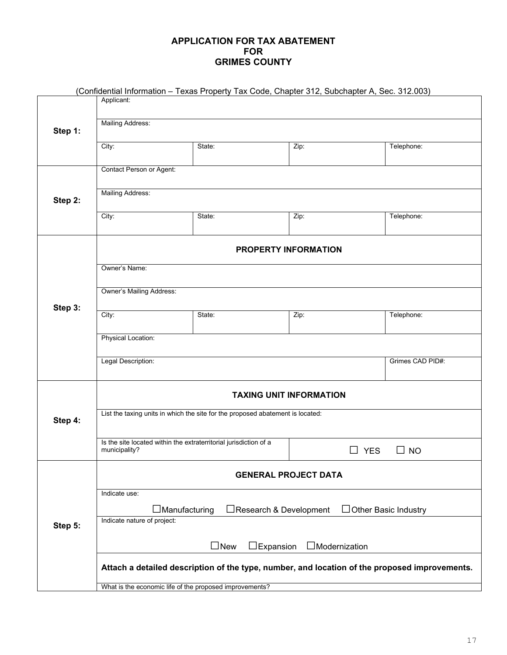#### **APPLICATION FOR TAX ABATEMENT FOR GRIMES COUNTY**

|                                                                                               |                                                                                                                                                                                | (Confidential Information - Texas Property Tax Code, Chapter 312, Subchapter A, Sec. 312.003) |                             |                 |  |  |  |
|-----------------------------------------------------------------------------------------------|--------------------------------------------------------------------------------------------------------------------------------------------------------------------------------|-----------------------------------------------------------------------------------------------|-----------------------------|-----------------|--|--|--|
|                                                                                               | Applicant:                                                                                                                                                                     |                                                                                               |                             |                 |  |  |  |
|                                                                                               |                                                                                                                                                                                |                                                                                               |                             |                 |  |  |  |
| Step 1:                                                                                       | <b>Mailing Address:</b>                                                                                                                                                        |                                                                                               |                             |                 |  |  |  |
|                                                                                               |                                                                                                                                                                                |                                                                                               |                             |                 |  |  |  |
|                                                                                               | City:                                                                                                                                                                          | State:                                                                                        | Zip:                        | Telephone:      |  |  |  |
|                                                                                               | Contact Person or Agent:                                                                                                                                                       |                                                                                               |                             |                 |  |  |  |
|                                                                                               |                                                                                                                                                                                |                                                                                               |                             |                 |  |  |  |
|                                                                                               | <b>Mailing Address:</b>                                                                                                                                                        |                                                                                               |                             |                 |  |  |  |
| Step 2:                                                                                       |                                                                                                                                                                                |                                                                                               |                             |                 |  |  |  |
|                                                                                               | City:                                                                                                                                                                          | State:                                                                                        | Zip:                        | Telephone:      |  |  |  |
|                                                                                               |                                                                                                                                                                                |                                                                                               |                             |                 |  |  |  |
|                                                                                               |                                                                                                                                                                                |                                                                                               |                             |                 |  |  |  |
|                                                                                               |                                                                                                                                                                                |                                                                                               | <b>PROPERTY INFORMATION</b> |                 |  |  |  |
|                                                                                               | Owner's Name:                                                                                                                                                                  |                                                                                               |                             |                 |  |  |  |
|                                                                                               |                                                                                                                                                                                |                                                                                               |                             |                 |  |  |  |
|                                                                                               | <b>Owner's Mailing Address:</b>                                                                                                                                                |                                                                                               |                             |                 |  |  |  |
|                                                                                               |                                                                                                                                                                                |                                                                                               |                             |                 |  |  |  |
| Step 3:                                                                                       | City:                                                                                                                                                                          | State:                                                                                        | Zip:                        | Telephone:      |  |  |  |
|                                                                                               |                                                                                                                                                                                |                                                                                               |                             |                 |  |  |  |
|                                                                                               | Physical Location:                                                                                                                                                             |                                                                                               |                             |                 |  |  |  |
|                                                                                               |                                                                                                                                                                                |                                                                                               |                             |                 |  |  |  |
|                                                                                               | Legal Description:<br>Grimes CAD PID#:                                                                                                                                         |                                                                                               |                             |                 |  |  |  |
|                                                                                               |                                                                                                                                                                                |                                                                                               |                             |                 |  |  |  |
|                                                                                               | <b>TAXING UNIT INFORMATION</b>                                                                                                                                                 |                                                                                               |                             |                 |  |  |  |
|                                                                                               |                                                                                                                                                                                |                                                                                               |                             |                 |  |  |  |
| Step 4:                                                                                       | List the taxing units in which the site for the proposed abatement is located:                                                                                                 |                                                                                               |                             |                 |  |  |  |
|                                                                                               |                                                                                                                                                                                |                                                                                               |                             |                 |  |  |  |
|                                                                                               | Is the site located within the extraterritorial jurisdiction of a                                                                                                              |                                                                                               |                             |                 |  |  |  |
|                                                                                               | municipality?                                                                                                                                                                  |                                                                                               | $\square$ YES               | ⊔.<br><b>NO</b> |  |  |  |
|                                                                                               |                                                                                                                                                                                |                                                                                               |                             |                 |  |  |  |
|                                                                                               | <b>GENERAL PROJECT DATA</b>                                                                                                                                                    |                                                                                               |                             |                 |  |  |  |
|                                                                                               | Indicate use:                                                                                                                                                                  |                                                                                               |                             |                 |  |  |  |
|                                                                                               | $\Box$ Manufacturing<br>□Research & Development<br>Other Basic Industry<br>Indicate nature of project:<br>Step 5:<br>$\square$ New<br>$\Box$ Expansion<br>$\Box$ Modernization |                                                                                               |                             |                 |  |  |  |
|                                                                                               |                                                                                                                                                                                |                                                                                               |                             |                 |  |  |  |
|                                                                                               |                                                                                                                                                                                |                                                                                               |                             |                 |  |  |  |
|                                                                                               |                                                                                                                                                                                |                                                                                               |                             |                 |  |  |  |
|                                                                                               |                                                                                                                                                                                |                                                                                               |                             |                 |  |  |  |
| Attach a detailed description of the type, number, and location of the proposed improvements. |                                                                                                                                                                                |                                                                                               |                             |                 |  |  |  |
|                                                                                               | What is the economic life of the proposed improvements?                                                                                                                        |                                                                                               |                             |                 |  |  |  |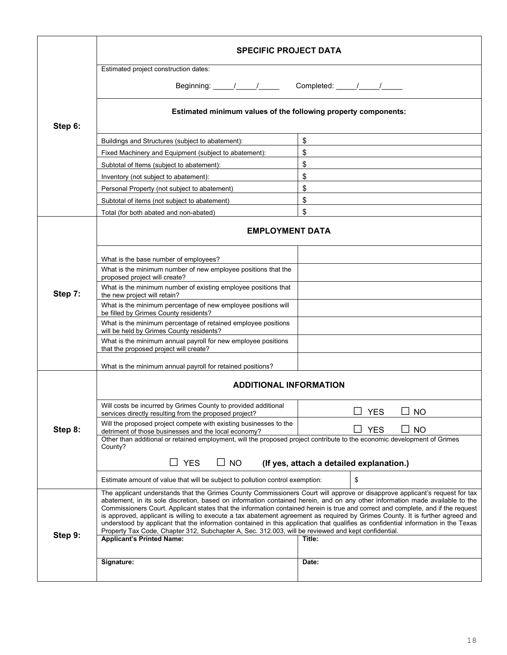|                                                                                                                                     | <b>SPECIFIC PROJECT DATA</b>                                                                                                                                                                                                                                                                                                                                                                                                                                                                                                                                                                                                                                                                                                                                                  |                                          |  |  |
|-------------------------------------------------------------------------------------------------------------------------------------|-------------------------------------------------------------------------------------------------------------------------------------------------------------------------------------------------------------------------------------------------------------------------------------------------------------------------------------------------------------------------------------------------------------------------------------------------------------------------------------------------------------------------------------------------------------------------------------------------------------------------------------------------------------------------------------------------------------------------------------------------------------------------------|------------------------------------------|--|--|
|                                                                                                                                     | Estimated project construction dates:                                                                                                                                                                                                                                                                                                                                                                                                                                                                                                                                                                                                                                                                                                                                         |                                          |  |  |
|                                                                                                                                     |                                                                                                                                                                                                                                                                                                                                                                                                                                                                                                                                                                                                                                                                                                                                                                               |                                          |  |  |
|                                                                                                                                     | Estimated minimum values of the following property components:                                                                                                                                                                                                                                                                                                                                                                                                                                                                                                                                                                                                                                                                                                                |                                          |  |  |
| Step 6:                                                                                                                             |                                                                                                                                                                                                                                                                                                                                                                                                                                                                                                                                                                                                                                                                                                                                                                               |                                          |  |  |
|                                                                                                                                     | \$<br>Buildings and Structures (subject to abatement):                                                                                                                                                                                                                                                                                                                                                                                                                                                                                                                                                                                                                                                                                                                        |                                          |  |  |
|                                                                                                                                     | Fixed Machinery and Equipment (subject to abatement):                                                                                                                                                                                                                                                                                                                                                                                                                                                                                                                                                                                                                                                                                                                         | \$                                       |  |  |
|                                                                                                                                     | Subtotal of Items (subject to abatement):                                                                                                                                                                                                                                                                                                                                                                                                                                                                                                                                                                                                                                                                                                                                     | \$                                       |  |  |
|                                                                                                                                     | Inventory (not subject to abatement):                                                                                                                                                                                                                                                                                                                                                                                                                                                                                                                                                                                                                                                                                                                                         | \$                                       |  |  |
|                                                                                                                                     | Personal Property (not subject to abatement)                                                                                                                                                                                                                                                                                                                                                                                                                                                                                                                                                                                                                                                                                                                                  | \$                                       |  |  |
|                                                                                                                                     | Subtotal of items (not subject to abatement)                                                                                                                                                                                                                                                                                                                                                                                                                                                                                                                                                                                                                                                                                                                                  | \$                                       |  |  |
|                                                                                                                                     | Total (for both abated and non-abated)                                                                                                                                                                                                                                                                                                                                                                                                                                                                                                                                                                                                                                                                                                                                        | \$                                       |  |  |
|                                                                                                                                     | <b>EMPLOYMENT DATA</b>                                                                                                                                                                                                                                                                                                                                                                                                                                                                                                                                                                                                                                                                                                                                                        |                                          |  |  |
|                                                                                                                                     | What is the base number of employees?                                                                                                                                                                                                                                                                                                                                                                                                                                                                                                                                                                                                                                                                                                                                         |                                          |  |  |
|                                                                                                                                     | What is the minimum number of new employee positions that the<br>proposed project will create?                                                                                                                                                                                                                                                                                                                                                                                                                                                                                                                                                                                                                                                                                |                                          |  |  |
| Step 7:                                                                                                                             | What is the minimum number of existing employee positions that<br>the new project will retain?                                                                                                                                                                                                                                                                                                                                                                                                                                                                                                                                                                                                                                                                                |                                          |  |  |
|                                                                                                                                     | What is the minimum percentage of new employee positions will<br>be filled by Grimes County residents?                                                                                                                                                                                                                                                                                                                                                                                                                                                                                                                                                                                                                                                                        |                                          |  |  |
|                                                                                                                                     | What is the minimum percentage of retained employee positions<br>will be held by Grimes County residents?                                                                                                                                                                                                                                                                                                                                                                                                                                                                                                                                                                                                                                                                     |                                          |  |  |
|                                                                                                                                     | What is the minimum annual payroll for new employee positions<br>that the proposed project will create?                                                                                                                                                                                                                                                                                                                                                                                                                                                                                                                                                                                                                                                                       |                                          |  |  |
|                                                                                                                                     | What is the minimum annual payroll for retained positions?                                                                                                                                                                                                                                                                                                                                                                                                                                                                                                                                                                                                                                                                                                                    |                                          |  |  |
|                                                                                                                                     | <b>ADDITIONAL INFORMATION</b>                                                                                                                                                                                                                                                                                                                                                                                                                                                                                                                                                                                                                                                                                                                                                 |                                          |  |  |
|                                                                                                                                     | Will costs be incurred by Grimes County to provided additional<br>services directly resulting from the proposed project?                                                                                                                                                                                                                                                                                                                                                                                                                                                                                                                                                                                                                                                      | <b>NO</b><br><b>YES</b>                  |  |  |
| Step 8:                                                                                                                             | Will the proposed project compete with existing businesses to the<br>detriment of those businesses and the local economy?                                                                                                                                                                                                                                                                                                                                                                                                                                                                                                                                                                                                                                                     | <b>YES</b><br><b>NO</b>                  |  |  |
| Other than additional or retained employment, will the proposed project contribute to the economic development of Grimes<br>County? |                                                                                                                                                                                                                                                                                                                                                                                                                                                                                                                                                                                                                                                                                                                                                                               |                                          |  |  |
|                                                                                                                                     | $\sqsupset$ YES<br>$\Box$ NO                                                                                                                                                                                                                                                                                                                                                                                                                                                                                                                                                                                                                                                                                                                                                  | (If yes, attach a detailed explanation.) |  |  |
|                                                                                                                                     | Estimate amount of value that will be subject to pollution control exemption:                                                                                                                                                                                                                                                                                                                                                                                                                                                                                                                                                                                                                                                                                                 | \$                                       |  |  |
| Step 9:                                                                                                                             | The applicant understands that the Grimes County Commissioners Court will approve or disapprove applicant's request for tax<br>abatement, in its sole discretion, based on information contained herein, and on any other information made available to the<br>Commissioners Court. Applicant states that the information contained herein is true and correct and complete, and if the request<br>is approved, applicant is willing to execute a tax abatement agreement as required by Grimes County. It is further agreed and<br>understood by applicant that the information contained in this application that qualifies as confidential information in the Texas<br>Property Tax Code, Chapter 312, Subchapter A, Sec. 312.003, will be reviewed and kept confidential. |                                          |  |  |
|                                                                                                                                     | <b>Applicant's Printed Name:</b>                                                                                                                                                                                                                                                                                                                                                                                                                                                                                                                                                                                                                                                                                                                                              | Title:                                   |  |  |
|                                                                                                                                     | Signature:                                                                                                                                                                                                                                                                                                                                                                                                                                                                                                                                                                                                                                                                                                                                                                    | Date:                                    |  |  |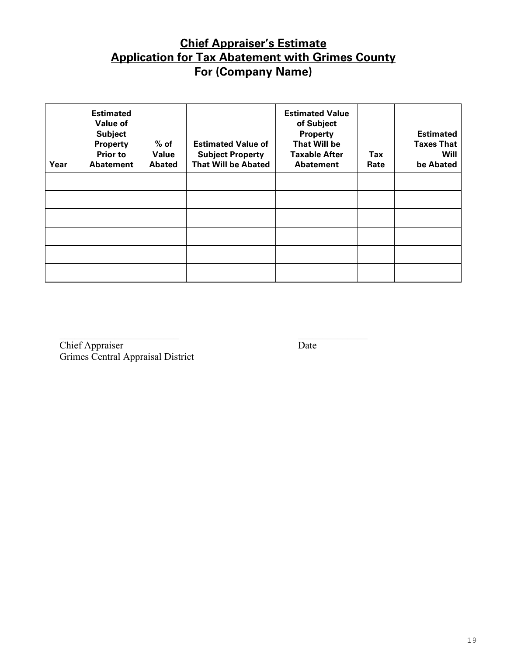# **Chief Appraiser's Estimate Application for Tax Abatement with Grimes County For (Company Name)**

| Year | <b>Estimated</b><br><b>Value of</b><br><b>Subject</b><br><b>Property</b><br><b>Prior to</b><br><b>Abatement</b> | $%$ of<br>Value<br><b>Abated</b> | <b>Estimated Value of</b><br><b>Subject Property</b><br><b>That Will be Abated</b> | <b>Estimated Value</b><br>of Subject<br><b>Property</b><br><b>That Will be</b><br><b>Taxable After</b><br>Abatement | Tax<br>Rate | <b>Estimated</b><br><b>Taxes That</b><br><b>Will</b><br>be Abated |
|------|-----------------------------------------------------------------------------------------------------------------|----------------------------------|------------------------------------------------------------------------------------|---------------------------------------------------------------------------------------------------------------------|-------------|-------------------------------------------------------------------|
|      |                                                                                                                 |                                  |                                                                                    |                                                                                                                     |             |                                                                   |
|      |                                                                                                                 |                                  |                                                                                    |                                                                                                                     |             |                                                                   |
|      |                                                                                                                 |                                  |                                                                                    |                                                                                                                     |             |                                                                   |
|      |                                                                                                                 |                                  |                                                                                    |                                                                                                                     |             |                                                                   |
|      |                                                                                                                 |                                  |                                                                                    |                                                                                                                     |             |                                                                   |
|      |                                                                                                                 |                                  |                                                                                    |                                                                                                                     |             |                                                                   |

**Chief Appraiser Date** Grimes Central Appraisal District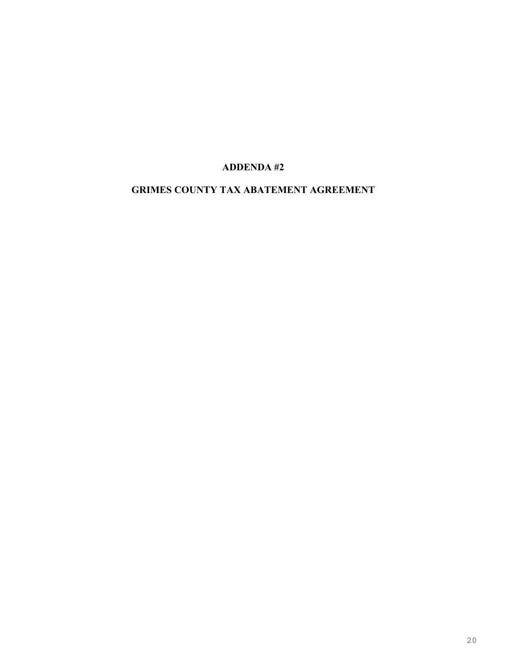### **ADDENDA #2**

# **GRIMES COUNTY TAX ABATEMENT AGREEMENT**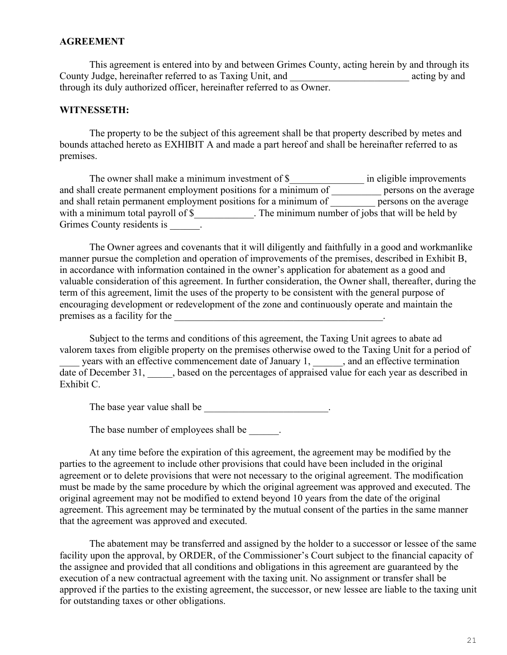#### **AGREEMENT**

This agreement is entered into by and between Grimes County, acting herein by and through its County Judge, hereinafter referred to as Taxing Unit, and \_\_\_\_\_\_\_\_\_\_\_\_\_\_\_\_\_\_\_\_\_\_\_\_ acting by and through its duly authorized officer, hereinafter referred to as Owner.

#### **WITNESSETH:**

The property to be the subject of this agreement shall be that property described by metes and bounds attached hereto as EXHIBIT A and made a part hereof and shall be hereinafter referred to as premises.

The owner shall make a minimum investment of \$\_\_\_\_\_\_\_\_\_\_\_\_\_\_\_\_\_\_ in eligible improvements and shall create permanent employment positions for a minimum of \_\_\_\_\_\_\_\_\_\_\_\_ persons on the average and shall retain permanent employment positions for a minimum of \_\_\_\_\_\_\_\_\_\_ persons on the average with a minimum total payroll of \$\_\_\_\_\_\_\_\_\_\_\_. The minimum number of jobs that will be held by Grimes County residents is  $\qquad \qquad$ .

The Owner agrees and covenants that it will diligently and faithfully in a good and workmanlike manner pursue the completion and operation of improvements of the premises, described in Exhibit B, in accordance with information contained in the owner's application for abatement as a good and valuable consideration of this agreement. In further consideration, the Owner shall, thereafter, during the term of this agreement, limit the uses of the property to be consistent with the general purpose of encouraging development or redevelopment of the zone and continuously operate and maintain the premises as a facility for the \_\_\_\_\_\_\_\_\_\_\_\_\_\_\_\_\_\_\_\_\_\_\_\_\_\_\_\_\_\_\_\_\_\_\_\_\_\_\_\_\_\_.

Subject to the terms and conditions of this agreement, the Taxing Unit agrees to abate ad valorem taxes from eligible property on the premises otherwise owed to the Taxing Unit for a period of years with an effective commencement date of January 1, 1, and an effective termination date of December 31, sased on the percentages of appraised value for each year as described in Exhibit C.

The base year value shall be  $\cdot$ 

The base number of employees shall be  $\qquad \qquad$ .

At any time before the expiration of this agreement, the agreement may be modified by the parties to the agreement to include other provisions that could have been included in the original agreement or to delete provisions that were not necessary to the original agreement. The modification must be made by the same procedure by which the original agreement was approved and executed. The original agreement may not be modified to extend beyond 10 years from the date of the original agreement. This agreement may be terminated by the mutual consent of the parties in the same manner that the agreement was approved and executed.

The abatement may be transferred and assigned by the holder to a successor or lessee of the same facility upon the approval, by ORDER, of the Commissioner's Court subject to the financial capacity of the assignee and provided that all conditions and obligations in this agreement are guaranteed by the execution of a new contractual agreement with the taxing unit. No assignment or transfer shall be approved if the parties to the existing agreement, the successor, or new lessee are liable to the taxing unit for outstanding taxes or other obligations.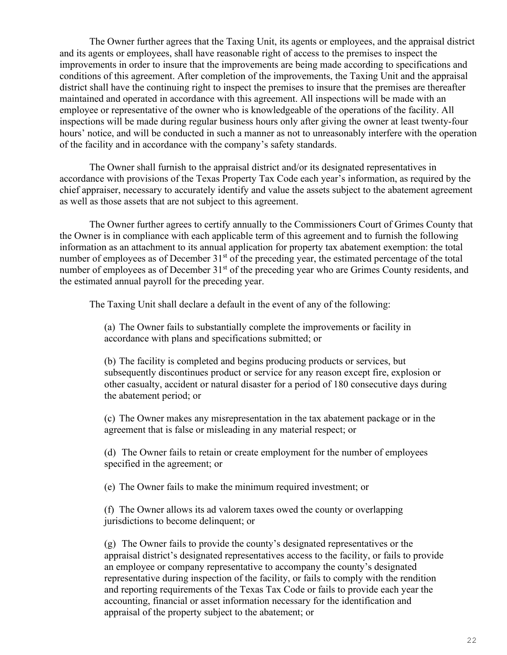The Owner further agrees that the Taxing Unit, its agents or employees, and the appraisal district and its agents or employees, shall have reasonable right of access to the premises to inspect the improvements in order to insure that the improvements are being made according to specifications and conditions of this agreement. After completion of the improvements, the Taxing Unit and the appraisal district shall have the continuing right to inspect the premises to insure that the premises are thereafter maintained and operated in accordance with this agreement. All inspections will be made with an employee or representative of the owner who is knowledgeable of the operations of the facility. All inspections will be made during regular business hours only after giving the owner at least twenty-four hours' notice, and will be conducted in such a manner as not to unreasonably interfere with the operation of the facility and in accordance with the company's safety standards.

The Owner shall furnish to the appraisal district and/or its designated representatives in accordance with provisions of the Texas Property Tax Code each year's information, as required by the chief appraiser, necessary to accurately identify and value the assets subject to the abatement agreement as well as those assets that are not subject to this agreement.

The Owner further agrees to certify annually to the Commissioners Court of Grimes County that the Owner is in compliance with each applicable term of this agreement and to furnish the following information as an attachment to its annual application for property tax abatement exemption: the total number of employees as of December 31<sup>st</sup> of the preceding year, the estimated percentage of the total number of employees as of December 31<sup>st</sup> of the preceding year who are Grimes County residents, and the estimated annual payroll for the preceding year.

The Taxing Unit shall declare a default in the event of any of the following:

(a) The Owner fails to substantially complete the improvements or facility in accordance with plans and specifications submitted; or

(b) The facility is completed and begins producing products or services, but subsequently discontinues product or service for any reason except fire, explosion or other casualty, accident or natural disaster for a period of 180 consecutive days during the abatement period; or

(c) The Owner makes any misrepresentation in the tax abatement package or in the agreement that is false or misleading in any material respect; or

(d) The Owner fails to retain or create employment for the number of employees specified in the agreement; or

(e) The Owner fails to make the minimum required investment; or

(f) The Owner allows its ad valorem taxes owed the county or overlapping jurisdictions to become delinquent; or

(g) The Owner fails to provide the county's designated representatives or the appraisal district's designated representatives access to the facility, or fails to provide an employee or company representative to accompany the county's designated representative during inspection of the facility, or fails to comply with the rendition and reporting requirements of the Texas Tax Code or fails to provide each year the accounting, financial or asset information necessary for the identification and appraisal of the property subject to the abatement; or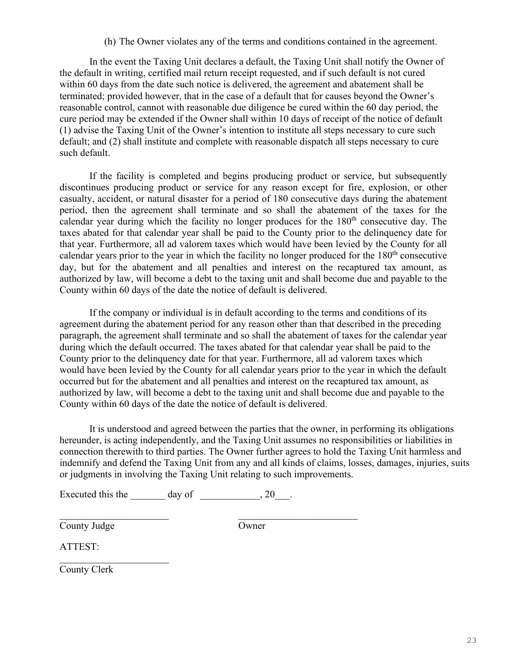(h) The Owner violates any of the terms and conditions contained in the agreement.

In the event the Taxing Unit declares a default, the Taxing Unit shall notify the Owner of the default in writing, certified mail return receipt requested, and if such default is not cured within 60 days from the date such notice is delivered, the agreement and abatement shall be terminated; provided however, that in the case of a default that for causes beyond the Owner's reasonable control, cannot with reasonable due diligence be cured within the 60 day period, the cure period may be extended if the Owner shall within 10 days of receipt of the notice of default (1) advise the Taxing Unit of the Owner's intention to institute all steps necessary to cure such default; and (2) shall institute and complete with reasonable dispatch all steps necessary to cure such default.

If the facility is completed and begins producing product or service, but subsequently discontinues producing product or service for any reason except for fire, explosion, or other casualty, accident, or natural disaster for a period of 180 consecutive days during the abatement period, then the agreement shall terminate and so shall the abatement of the taxes for the calendar year during which the facility no longer produces for the  $180<sup>th</sup>$  consecutive day. The taxes abated for that calendar year shall be paid to the County prior to the delinquency date for that year. Furthermore, all ad valorem taxes which would have been levied by the County for all calendar years prior to the year in which the facility no longer produced for the 180<sup>th</sup> consecutive day, but for the abatement and all penalties and interest on the recaptured tax amount, as authorized by law, will become a debt to the taxing unit and shall become due and payable to the County within 60 days of the date the notice of default is delivered.

If the company or individual is in default according to the terms and conditions of its agreement during the abatement period for any reason other than that described in the preceding paragraph, the agreement shall terminate and so shall the abatement of taxes for the calendar year during which the default occurred. The taxes abated for that calendar year shall be paid to the County prior to the delinquency date for that year. Furthermore, all ad valorem taxes which would have been levied by the County for all calendar years prior to the year in which the default occurred but for the abatement and all penalties and interest on the recaptured tax amount, as authorized by law, will become a debt to the taxing unit and shall become due and payable to the County within 60 days of the date the notice of default is delivered.

It is understood and agreed between the parties that the owner, in performing its obligations hereunder, is acting independently, and the Taxing Unit assumes no responsibilities or liabilities in connection therewith to third parties. The Owner further agrees to hold the Taxing Unit harmless and indemnify and defend the Taxing Unit from any and all kinds of claims, losses, damages, injuries, suits or judgments in involving the Taxing Unit relating to such improvements.

Executed this the  $\qquad \qquad$  day of  $\qquad \qquad$ , 20

Owner

ATTEST:

 $\overline{\mathcal{L}}$ County Clerk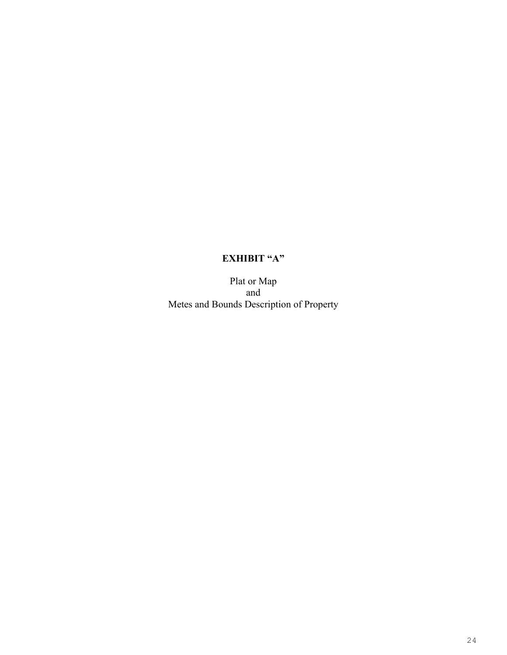# **EXHIBIT "A"**

Plat or Map and Metes and Bounds Description of Property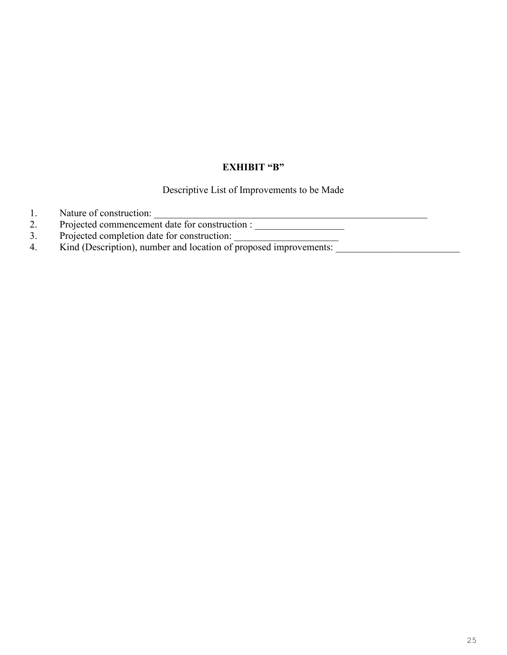#### **EXHIBIT "B"**

Descriptive List of Improvements to be Made

- 1. Nature of construction: \_\_\_\_\_\_\_\_\_\_\_\_\_\_\_\_\_\_\_\_\_\_\_\_\_\_\_\_\_\_\_\_\_\_\_\_\_\_\_\_\_\_\_\_\_\_\_\_\_\_\_\_\_\_\_
- 2. Projected commencement date for construction : \_\_\_\_\_\_\_\_\_\_\_\_\_\_\_\_\_\_\_\_\_\_\_\_\_\_\_\_\_\_
- 3. Projected completion date for construction:
- 4. Kind (Description), number and location of proposed improvements: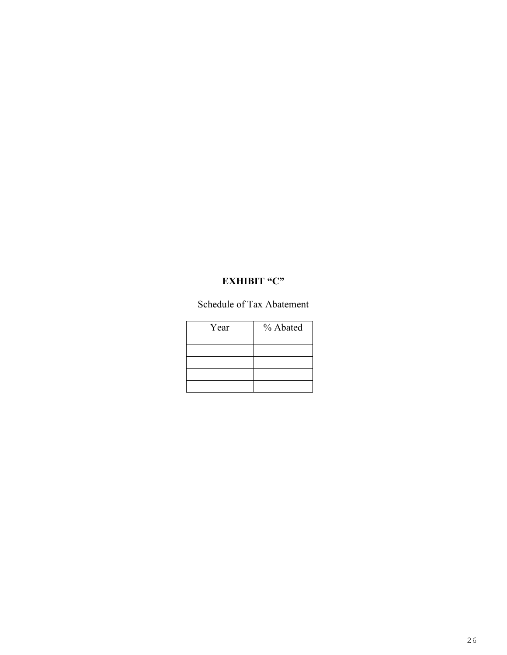## **EXHIBIT "C"**

Schedule of Tax Abatement

| Year | % Abated |  |  |
|------|----------|--|--|
|      |          |  |  |
|      |          |  |  |
|      |          |  |  |
|      |          |  |  |
|      |          |  |  |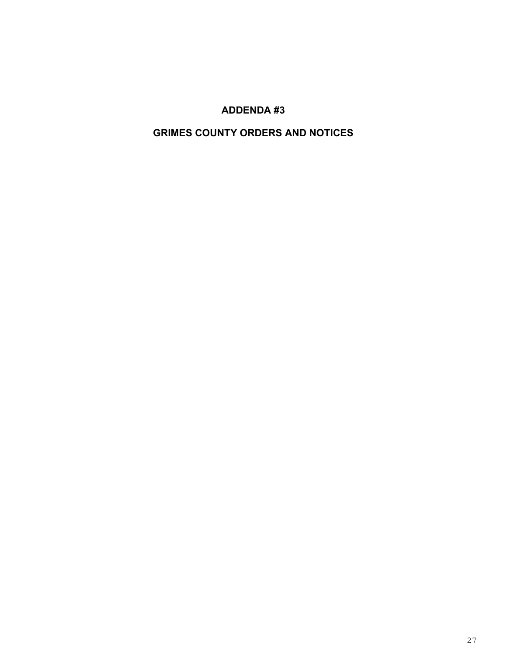# **ADDENDA #3**

# **GRIMES COUNTY ORDERS AND NOTICES**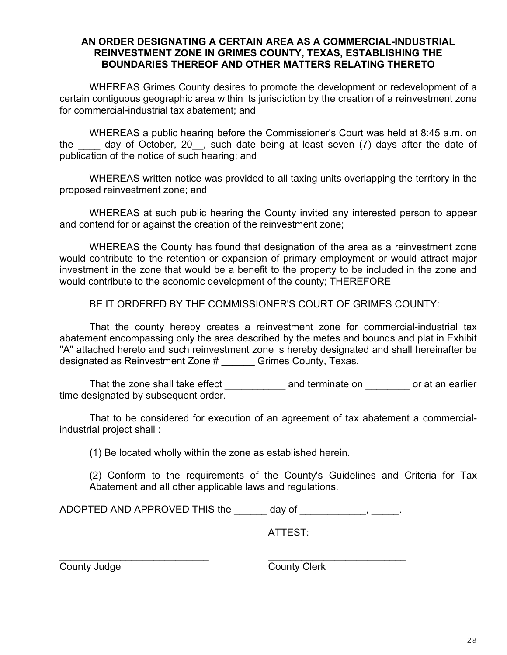#### **AN ORDER DESIGNATING A CERTAIN AREA AS A COMMERCIAL-INDUSTRIAL REINVESTMENT ZONE IN GRIMES COUNTY, TEXAS, ESTABLISHING THE BOUNDARIES THEREOF AND OTHER MATTERS RELATING THERETO**

WHEREAS Grimes County desires to promote the development or redevelopment of a certain contiguous geographic area within its jurisdiction by the creation of a reinvestment zone for commercial-industrial tax abatement; and

WHEREAS a public hearing before the Commissioner's Court was held at 8:45 a.m. on the day of October, 20, such date being at least seven (7) days after the date of publication of the notice of such hearing; and

WHEREAS written notice was provided to all taxing units overlapping the territory in the proposed reinvestment zone; and

WHEREAS at such public hearing the County invited any interested person to appear and contend for or against the creation of the reinvestment zone;

WHEREAS the County has found that designation of the area as a reinvestment zone would contribute to the retention or expansion of primary employment or would attract major investment in the zone that would be a benefit to the property to be included in the zone and would contribute to the economic development of the county; THEREFORE

BE IT ORDERED BY THE COMMISSIONER'S COURT OF GRIMES COUNTY:

That the county hereby creates a reinvestment zone for commercial-industrial tax abatement encompassing only the area described by the metes and bounds and plat in Exhibit "A" attached hereto and such reinvestment zone is hereby designated and shall hereinafter be designated as Reinvestment Zone # \_\_\_\_\_\_ Grimes County, Texas.

That the zone shall take effect \_\_\_\_\_\_\_\_\_\_\_\_\_ and terminate on \_\_\_\_\_\_\_\_ or at an earlier time designated by subsequent order.

That to be considered for execution of an agreement of tax abatement a commercialindustrial project shall :

(1) Be located wholly within the zone as established herein.

(2) Conform to the requirements of the County's Guidelines and Criteria for Tax Abatement and all other applicable laws and regulations.

ADOPTED AND APPROVED THIS the \_\_\_\_\_\_ day of \_\_\_\_\_\_\_\_\_\_\_\_, \_\_\_\_\_.

ATTEST:

\_\_\_\_\_\_\_\_\_\_\_\_\_\_\_\_\_\_\_\_\_\_\_\_\_\_\_ \_\_\_\_\_\_\_\_\_\_\_\_\_\_\_\_\_\_\_\_\_\_\_\_\_ County Judge County Clerk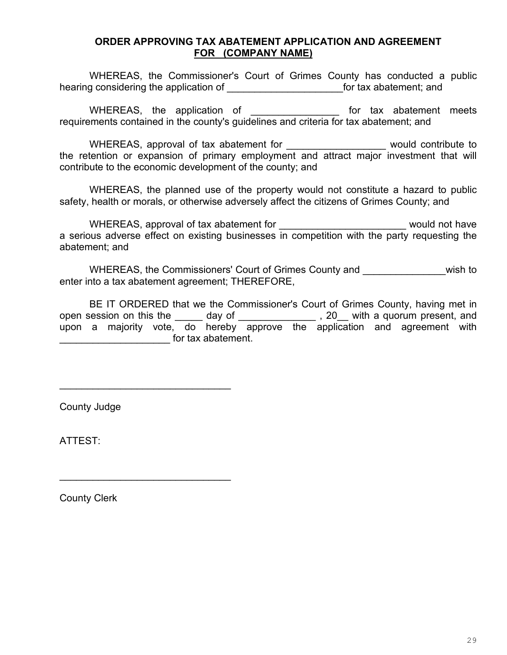#### **ORDER APPROVING TAX ABATEMENT APPLICATION AND AGREEMENT FOR (COMPANY NAME)**

WHEREAS, the Commissioner's Court of Grimes County has conducted a public hearing considering the application of \_\_\_\_\_\_\_\_\_\_\_\_\_\_\_\_\_\_\_\_\_\_\_\_\_\_\_\_\_\_for tax abatement; and

WHEREAS, the application of the statement meets requirements contained in the county's guidelines and criteria for tax abatement; and

WHEREAS, approval of tax abatement for The Theorem and a would contribute to the retention or expansion of primary employment and attract major investment that will contribute to the economic development of the county; and

WHEREAS, the planned use of the property would not constitute a hazard to public safety, health or morals, or otherwise adversely affect the citizens of Grimes County; and

WHEREAS, approval of tax abatement for \_\_\_\_\_\_\_\_\_\_\_\_\_\_\_\_\_\_\_\_\_\_\_\_\_\_\_\_ would not have a serious adverse effect on existing businesses in competition with the party requesting the abatement; and

WHEREAS, the Commissioners' Court of Grimes County and **\_\_\_\_\_\_\_\_\_\_\_\_\_\_\_\_\_**wish to enter into a tax abatement agreement; THEREFORE,

BE IT ORDERED that we the Commissioner's Court of Grimes County, having met in open session on this the \_\_\_\_\_ day of \_\_\_\_\_\_\_\_\_\_\_\_\_\_\_, 20\_\_ with a quorum present, and upon a majority vote, do hereby approve the application and agreement with dentically state for tax abatement.

County Judge

\_\_\_\_\_\_\_\_\_\_\_\_\_\_\_\_\_\_\_\_\_\_\_\_\_\_\_\_\_\_\_

\_\_\_\_\_\_\_\_\_\_\_\_\_\_\_\_\_\_\_\_\_\_\_\_\_\_\_\_\_\_\_

ATTEST:

County Clerk